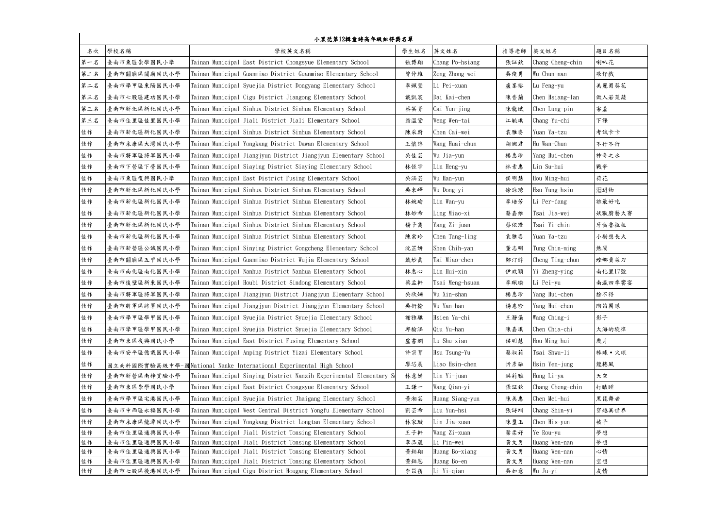| 小黑琵第12輯童詩高年級組得獎名單 |                              |                                                                                                                       |            |                           |            |                           |          |  |  |  |
|-------------------|------------------------------|-----------------------------------------------------------------------------------------------------------------------|------------|---------------------------|------------|---------------------------|----------|--|--|--|
| 名次                | 學校名稱                         | 學校英文名稱                                                                                                                | 學生姓名       | 英文姓名                      | 指導老師       | 英文姓名                      | 題目名稱     |  |  |  |
| 第一名               | 臺南市東區崇學國民小學                  | Tainan Municipal East District Chongsyue Elementary School                                                            | 張博翔        | Chang Po-hsiang           | 張証欽        | Chang Cheng-chin          | 喇叭花      |  |  |  |
| 第二名               | 臺南市關廟區關廟國民小學                 | Tainan Municipal Guanmiao District Guanmiao Elementary School                                                         | 曾仲維        | Zeng Zhong-wei            | 吳俊男        | Wu Chun-nan               | 歌仔戲      |  |  |  |
| 第二名               | 臺南市學甲區東陽國民小學                 | Tainan Municipal Syuejia District Dongyang Elementary School                                                          | 李姵萱        | Li Pei-xuan               | 盧峯裕        | Lu Feng-yu                | 美麗蜀葵花    |  |  |  |
| 第三名               | 臺南市七股區建功國民小學                 | Tainan Municipal Cigu District Jiangong Elementary School                                                             | 戴凱宸        | Dai Kai-chen              | 陳香蘭        | Chen Hsiang-lan           | 做人若菜蔬    |  |  |  |
| 第三名               | 臺南市新化區新化國民小學                 | Tainan Municipal Sinhua District Sinhua Elementary School                                                             | 蔡芸菁        | Cai Yun-jing              | 陳龍斌        | Chen Lung-pin             | 害羞       |  |  |  |
| 第三名               | 臺南市佳里區佳里國民小學                 | Tainan Municipal Jiali District Jiali Elementary School                                                               | 翁溫黛        | Weng Wen-tai              | 江毓琪        | Chang Yu-chi              | 下課       |  |  |  |
| 佳作                | 臺南市新化區新化國民小學                 | Tainan Municipal Sinhua District Sinhua Elementary School                                                             | 陳采蔚        | Chen Cai-wei              | 袁雅姿        | Yuan Ya-tzu               | 考試卡卡     |  |  |  |
| 佳作                | 臺南市永康區大灣國民小學                 | Tainan Municipal Yongkang District Dawan Elementary School                                                            | 王懷諄        | Wang Huai-chun            | 胡婉君        | Hu Wan-Chun               | 不行不行     |  |  |  |
| 佳作                | 臺南市將軍區將軍國民小學                 | Tainan Municipal Jiangjyun District Jiangjyun Elementary School                                                       | 吳佳芸        | Wu Jia-yun                | 楊惠珍        | Yang Hui-chen             | 神奇之水     |  |  |  |
| 佳作                | 臺南市下營區下營國民小學                 | Tainan Municipal Siaying District Siaying Elementary School                                                           | 林恆宇        | Lin Heng-yu               | 林素惠        | Lin Su-hui                | 戰爭       |  |  |  |
| 佳作                | 臺南市東區復興國民小學                  | Tainan Municipal East District Fusing Elementary School                                                               | 吳涵芸        | Wu Han-yun                | 侯明慧        | Hou Ming-hui              | 荷花       |  |  |  |
| 佳作                | 臺南市新化區新化國民小學                 | Tainan Municipal Sinhua District Sinhua Elementary School                                                             | 吳東嶧        | Wu Dong-yi                | 徐詠琇        | Hsu Yung-hsiu             | 坦坦物      |  |  |  |
| 佳作                | 臺南市新化區新化國民小學                 | Tainan Municipal Sinhua District Sinhua Elementary School                                                             | 林婉瑜        | Lin Wan-yu                | 李培芳        | Li Per-fang               | 誰最好吃     |  |  |  |
| 佳作                | 臺南市新化區新化國民小學                 | Tainan Municipal Sinhua District Sinhua Elementary School                                                             | 林妙希        | Ling Miao-xi              | 蔡嘉維        | Tsai Jia-wei              | 妖獸廚藝大賽   |  |  |  |
| 佳作                | 臺南市新化區新化國民小學                 | Tainan Municipal Sinhua District Sinhua Elementary School                                                             | 楊子雋        | Yang Zi-juan              | 蔡依瑾        | Tsai Yi-chin              | 牙齒魯拉拉    |  |  |  |
| 佳作                | 臺南市新化區新化國民小學                 | Tainan Municipal Sinhua District Sinhua Elementary School                                                             | 陳棠玲        | Chen Tang-ling            | 袁雅姿        | Yuan Ya-tzu               | 小樹想長大    |  |  |  |
| 佳作                | 臺南市新營區公誠國民小學                 | Tainan Municipal Sinying District Gongcheng Elementary School                                                         | 沈芷妍        | Shen Chih-yan             | 董志明        | Tung Chin-ming            | 熱鬧       |  |  |  |
| 佳作                | 臺南市關廟區五甲國民小學                 | Tainan Municipal Guanmiao District Wujia Elementary School                                                            | 戴妙真        | Tai Miao-chen             | 鄭汀錞        | Cheng Ting-chun           | 螳螂賣菜刀    |  |  |  |
| 佳作                | 臺南市南化區南化國民小學                 | Tainan Municipal Nanhua District Nanhua Elementary School                                                             | 林惠心        | Lin Hui-xin               | 伊政穎        | Yi Zheng-ying             | 南化里17號   |  |  |  |
| 佳作                | 臺南市後壁區新東國民小學                 | Tainan Municipal Houbi District Sindong Elementary School                                                             | 蔡孟軒        | Tsai Meng-hsuan           | 李珮瑜        | Li Pei-yu                 | 南瀛四季饗宴   |  |  |  |
| 佳作                | 臺南市將軍區將軍國民小學                 | Tainan Municipal Jiangjyun District Jiangjyun Elementary School                                                       | 吳欣姍        | Wu Xin-shan               | 楊惠珍        | Yang Hui-chen             | 捨不得      |  |  |  |
| 佳作                | 臺南市將軍區將軍國民小學                 | Tainan Municipal Jiangjyun District Jiangjyun Elementary School                                                       | 吳衍翰        | Wu Yan-han                | 楊惠珍        | Yang Hui-chen             | 陶笛團隊     |  |  |  |
| 佳作                | 臺南市學甲區學甲國民小學                 | Tainan Municipal Syuejia District Syuejia Elementary School                                                           | 謝雅騏        | Hsien Ya-chi              | 王瀞儀        | Wang Ching-i              | 影子       |  |  |  |
| 佳作                | 臺南市學甲區學甲國民小學                 | Tainan Municipal Syuejia District Syuejia Elementary School                                                           | 邱榆涵        | Qiu Yu-han                | 陳嘉琪        | Chen Chia-chi             | 大海的旋律    |  |  |  |
| 佳作                | 臺南市東區復興國民小學                  | Tainan Municipal East District Fusing Elementary School                                                               | 盧書嫻        | Lu Shu-xian               | 侯明慧        | Hou Ming-hui              | 歲月       |  |  |  |
| 佳作                | 臺南市安平區億載國民小學                 | Tainan Municipal Anping District Yizai Elementary School                                                              | 許宗育        | Hsu Tsung-Yu              | 蔡淑莉        | Tsai Shwu-li              | 棒球 • 火球  |  |  |  |
| 佳作                | 國立南科國際實驗高級中學-國               | Mational Nanke International Experimental High School                                                                 | 廖芯晨        | Liao Hsin-chen            | 忻彦融        | Hsin Yen-jung             | 龍捲風      |  |  |  |
| 佳作                | 臺南市新營區南梓實驗小學                 | Tainan Municipal Sinying District Nanzih Experimental Elementary S                                                    | 林意娟        | Lin Yi-juan               | 洪莉雅        | Hung Li-ya                | 天空       |  |  |  |
| 佳作                | 臺南市東區崇學國民小學                  | Tainan Municipal East District Chongsyue Elementary School                                                            | 王謙一        | Wang Qian-yi              | 張証欽        | Chang Cheng-chin          | 打瞌睡      |  |  |  |
| 佳作                | 臺南市學甲區宅港國民小學                 | Tainan Municipal Syuejia District Jhaigang Elementary School                                                          | 黃湘芸        | Huang Siang-yun           | 陳美惠        | Chen Mei-hui              | 黑琵舞者     |  |  |  |
| 佳作                | 臺南市中西區永福國民小學                 | Tainan Municipal West Central District Yongfu Elementary School                                                       | 劉芸希        | Liu Yun-hsi               | 張詩翊        | Chang Shin-yi             | 穿越異世界    |  |  |  |
| 佳作                | 臺南市永康區龍潭國民小學                 | Tainan Municipal Yongkang District Longtan Elementary School                                                          | 林家璇        | Lin Jia-xuan              | 陳璽玉        | Chen His-yun              | 被子       |  |  |  |
| 佳作                | 臺南市佳里區通興國民小學                 | Tainan Municipal Jiali District Tonsing Elementary School                                                             | 王子軒        | Wang Zi-xuan              | 葉柔好        | Ye Rou-yu                 | 夢想       |  |  |  |
| 佳作                | 臺南市佳里區通興國民小學                 | Tainan Municipal Jiali District Tonsing Elementary School                                                             | 李品葳        | Li Pin-wei                | 黄文男        | Huang Wen-nan             | 夢想       |  |  |  |
| 佳作                | 臺南市佳里區通興國民小學                 | Tainan Municipal Jiali District Tonsing Elementary School                                                             | 黃鉑翔        | Huang Bo-xiang            | 黄文男        | Huang Wen-nan             | 心情       |  |  |  |
| 佳作<br>佳作          | 臺南市佳里區通興國民小學<br>臺南市七股區後港國民小學 | Tainan Municipal Jiali District Tonsing Elementary School<br>Tainan Municipal Cigu District Hougang Elementary School | 黃鉑恩<br>李苡蒨 | Huang Bo-en<br>Li Yi-qian | 黄文男<br>吳如意 | Huang Wen-nan<br>Wu Ju-yi | 空想<br>友情 |  |  |  |
|                   |                              |                                                                                                                       |            |                           |            |                           |          |  |  |  |

## 小黑琵第12輯童詩高年級組得獎名單